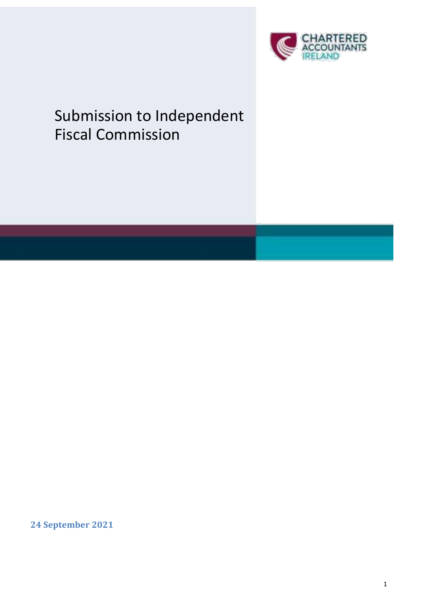

# Submission to Independent Fiscal Commission

**24 September 2021**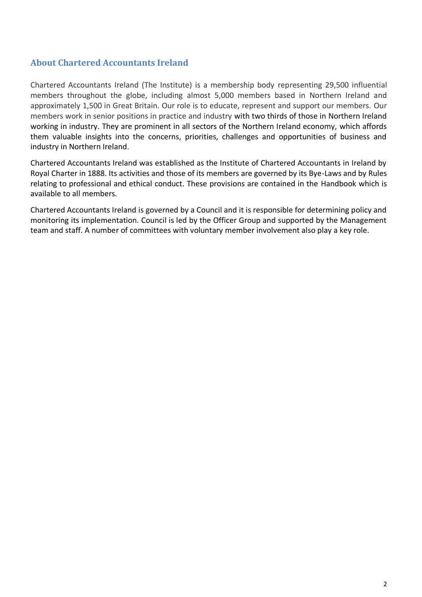#### **About Chartered Accountants Ireland**

Chartered Accountants Ireland (The Institute) is a membership body representing 29,500 influential members throughout the globe, including almost 5,000 members based in Northern Ireland and approximately 1,500 in Great Britain. Our role is to educate, represent and support our members. Our members work in senior positions in practice and industry with two thirds of those in Northern Ireland working in industry. They are prominent in all sectors of the Northern Ireland economy, which affords them valuable insights into the concerns, priorities, challenges and opportunities of business and industry in Northern Ireland.

Chartered Accountants Ireland was established as the Institute of Chartered Accountants in Ireland by Royal Charter in 1888. Its activities and those of its members are governed by its Bye-Laws and by Rules relating to professional and ethical conduct. These provisions are contained in the Handbook which is available to all members.

Chartered Accountants Ireland is governed by a Council and it is responsible for determining policy and monitoring its implementation. Council is led by the Officer Group and supported by the Management team and staff. A number of committees with voluntary member involvement also play a key role.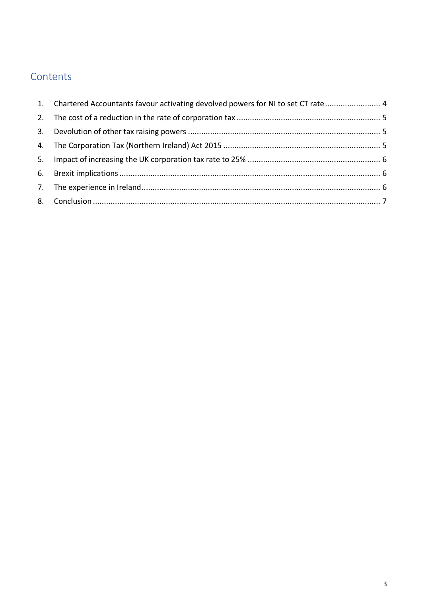# Contents

| 1. Chartered Accountants favour activating devolved powers for NI to set CT rate 4 |  |
|------------------------------------------------------------------------------------|--|
|                                                                                    |  |
|                                                                                    |  |
|                                                                                    |  |
|                                                                                    |  |
|                                                                                    |  |
|                                                                                    |  |
|                                                                                    |  |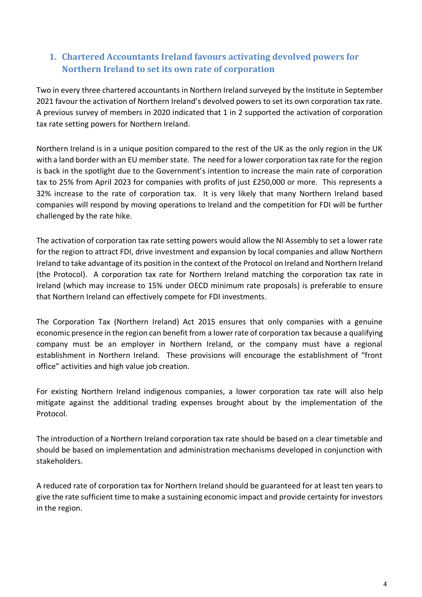# <span id="page-3-0"></span>**1. Chartered Accountants Ireland favours activating devolved powers for Northern Ireland to set its own rate of corporation**

Two in every three chartered accountants in Northern Ireland surveyed by the Institute in September 2021 favour the activation of Northern Ireland's devolved powers to set its own corporation tax rate. A previous survey of members in 2020 indicated that 1 in 2 supported the activation of corporation tax rate setting powers for Northern Ireland.

Northern Ireland is in a unique position compared to the rest of the UK as the only region in the UK with a land border with an EU member state. The need for a lower corporation tax rate for the region is back in the spotlight due to the Government's intention to increase the main rate of corporation tax to 25% from April 2023 for companies with profits of just £250,000 or more. This represents a 32% increase to the rate of corporation tax. It is very likely that many Northern Ireland based companies will respond by moving operations to Ireland and the competition for FDI will be further challenged by the rate hike.

The activation of corporation tax rate setting powers would allow the NI Assembly to set a lower rate for the region to attract FDI, drive investment and expansion by local companies and allow Northern Ireland to take advantage of its position in the context of the Protocol on Ireland and Northern Ireland (the Protocol). A corporation tax rate for Northern Ireland matching the corporation tax rate in Ireland (which may increase to 15% under OECD minimum rate proposals) is preferable to ensure that Northern Ireland can effectively compete for FDI investments.

The Corporation Tax (Northern Ireland) Act 2015 ensures that only companies with a genuine economic presence in the region can benefit from a lower rate of corporation tax because a qualifying company must be an employer in Northern Ireland, or the company must have a regional establishment in Northern Ireland. These provisions will encourage the establishment of "front office" activities and high value job creation.

For existing Northern Ireland indigenous companies, a lower corporation tax rate will also help mitigate against the additional trading expenses brought about by the implementation of the Protocol.

The introduction of a Northern Ireland corporation tax rate should be based on a clear timetable and should be based on implementation and administration mechanisms developed in conjunction with stakeholders.

A reduced rate of corporation tax for Northern Ireland should be guaranteed for at least ten years to give the rate sufficient time to make a sustaining economic impact and provide certainty for investors in the region.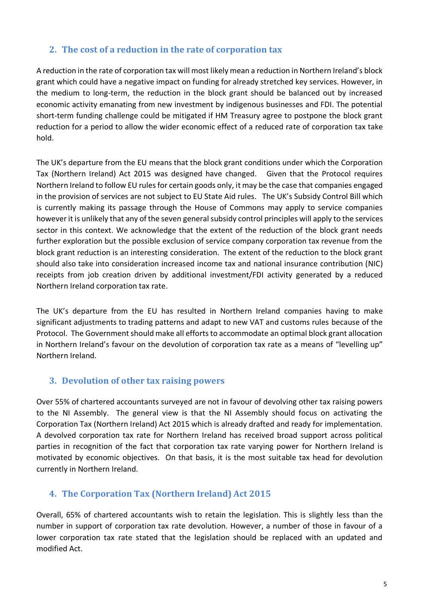#### <span id="page-4-0"></span>**2. The cost of a reduction in the rate of corporation tax**

A reduction in the rate of corporation tax will most likely mean a reduction in Northern Ireland's block grant which could have a negative impact on funding for already stretched key services. However, in the medium to long-term, the reduction in the block grant should be balanced out by increased economic activity emanating from new investment by indigenous businesses and FDI. The potential short-term funding challenge could be mitigated if HM Treasury agree to postpone the block grant reduction for a period to allow the wider economic effect of a reduced rate of corporation tax take hold.

The UK's departure from the EU means that the block grant conditions under which the Corporation Tax (Northern Ireland) Act 2015 was designed have changed. Given that the Protocol requires Northern Ireland to follow EU rules for certain goods only, it may be the case that companies engaged in the provision of services are not subject to EU State Aid rules. The UK's Subsidy Control Bill which is currently making its passage through the House of Commons may apply to service companies however it is unlikely that any of the seven general subsidy control principles will apply to the services sector in this context. We acknowledge that the extent of the reduction of the block grant needs further exploration but the possible exclusion of service company corporation tax revenue from the block grant reduction is an interesting consideration. The extent of the reduction to the block grant should also take into consideration increased income tax and national insurance contribution (NIC) receipts from job creation driven by additional investment/FDI activity generated by a reduced Northern Ireland corporation tax rate.

The UK's departure from the EU has resulted in Northern Ireland companies having to make significant adjustments to trading patterns and adapt to new VAT and customs rules because of the Protocol. The Government should make all efforts to accommodate an optimal block grant allocation in Northern Ireland's favour on the devolution of corporation tax rate as a means of "levelling up" Northern Ireland.

#### <span id="page-4-1"></span>**3. Devolution of other tax raising powers**

Over 55% of chartered accountants surveyed are not in favour of devolving other tax raising powers to the NI Assembly. The general view is that the NI Assembly should focus on activating the Corporation Tax (Northern Ireland) Act 2015 which is already drafted and ready for implementation. A devolved corporation tax rate for Northern Ireland has received broad support across political parties in recognition of the fact that corporation tax rate varying power for Northern Ireland is motivated by economic objectives. On that basis, it is the most suitable tax head for devolution currently in Northern Ireland.

#### <span id="page-4-2"></span>**4. The Corporation Tax (Northern Ireland) Act 2015**

Overall, 65% of chartered accountants wish to retain the legislation. This is slightly less than the number in support of corporation tax rate devolution. However, a number of those in favour of a lower corporation tax rate stated that the legislation should be replaced with an updated and modified Act.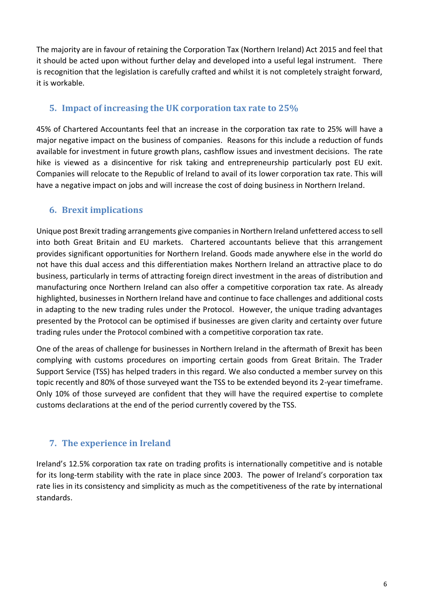The majority are in favour of retaining the Corporation Tax (Northern Ireland) Act 2015 and feel that it should be acted upon without further delay and developed into a useful legal instrument. There is recognition that the legislation is carefully crafted and whilst it is not completely straight forward, it is workable.

#### <span id="page-5-0"></span>**5. Impact of increasing the UK corporation tax rate to 25%**

45% of Chartered Accountants feel that an increase in the corporation tax rate to 25% will have a major negative impact on the business of companies. Reasons for this include a reduction of funds available for investment in future growth plans, cashflow issues and investment decisions. The rate hike is viewed as a disincentive for risk taking and entrepreneurship particularly post EU exit. Companies will relocate to the Republic of Ireland to avail of its lower corporation tax rate. This will have a negative impact on jobs and will increase the cost of doing business in Northern Ireland.

# <span id="page-5-1"></span>**6. Brexit implications**

Unique post Brexit trading arrangements give companies in Northern Ireland unfettered access to sell into both Great Britain and EU markets. Chartered accountants believe that this arrangement provides significant opportunities for Northern Ireland. Goods made anywhere else in the world do not have this dual access and this differentiation makes Northern Ireland an attractive place to do business, particularly in terms of attracting foreign direct investment in the areas of distribution and manufacturing once Northern Ireland can also offer a competitive corporation tax rate. As already highlighted, businesses in Northern Ireland have and continue to face challenges and additional costs in adapting to the new trading rules under the Protocol. However, the unique trading advantages presented by the Protocol can be optimised if businesses are given clarity and certainty over future trading rules under the Protocol combined with a competitive corporation tax rate.

One of the areas of challenge for businesses in Northern Ireland in the aftermath of Brexit has been complying with customs procedures on importing certain goods from Great Britain. The Trader Support Service (TSS) has helped traders in this regard. We also conducted a member survey on this topic recently and 80% of those surveyed want the TSS to be extended beyond its 2-year timeframe. Only 10% of those surveyed are confident that they will have the required expertise to complete customs declarations at the end of the period currently covered by the TSS.

# <span id="page-5-2"></span>**7. The experience in Ireland**

Ireland's 12.5% corporation tax rate on trading profits is internationally competitive and is notable for its long-term stability with the rate in place since 2003. The power of Ireland's corporation tax rate lies in its consistency and simplicity as much as the competitiveness of the rate by international standards.